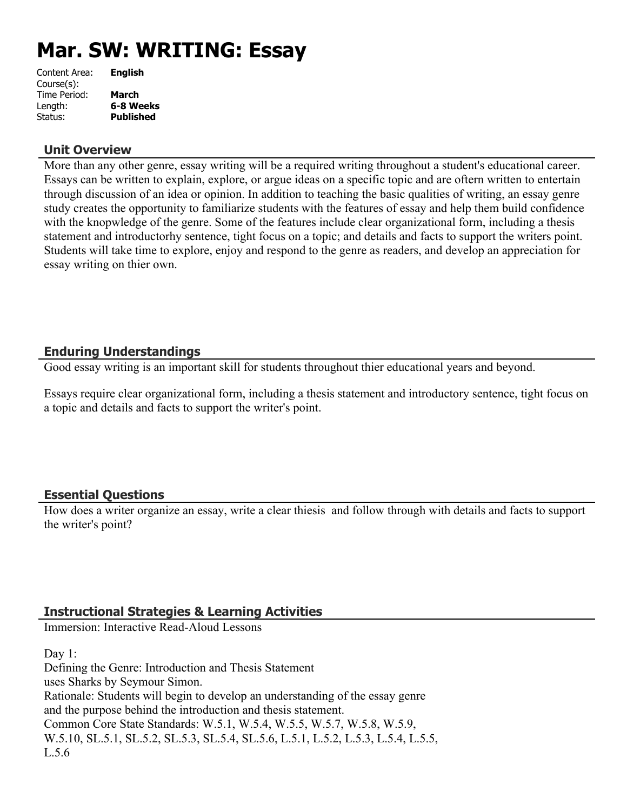# **Mar. SW: WRITING: Essay**

| Content Area: | <b>English</b>   |
|---------------|------------------|
| Course(s):    |                  |
| Time Period:  | March            |
| Length:       | 6-8 Weeks        |
| Status:       | <b>Published</b> |
|               |                  |

### **Unit Overview**

More than any other genre, essay writing will be a required writing throughout a student's educational career. Essays can be written to explain, explore, or argue ideas on a specific topic and are oftern written to entertain through discussion of an idea or opinion. In addition to teaching the basic qualities of writing, an essay genre study creates the opportunity to familiarize students with the features of essay and help them build confidence with the knopwledge of the genre. Some of the features include clear organizational form, including a thesis statement and introductorhy sentence, tight focus on a topic; and details and facts to support the writers point. Students will take time to explore, enjoy and respond to the genre as readers, and develop an appreciation for essay writing on thier own.

## **Enduring Understandings**

Good essay writing is an important skill for students throughout thier educational years and beyond.

Essays require clear organizational form, including a thesis statement and introductory sentence, tight focus on a topic and details and facts to support the writer's point.

## **Essential Questions**

How does a writer organize an essay, write a clear thiesis and follow through with details and facts to support the writer's point?

## **Instructional Strategies & Learning Activities**

Immersion: Interactive Read-Aloud Lessons

Day 1: Defining the Genre: Introduction and Thesis Statement uses Sharks by Seymour Simon. Rationale: Students will begin to develop an understanding of the essay genre and the purpose behind the introduction and thesis statement. Common Core State Standards: W.5.1, W.5.4, W.5.5, W.5.7, W.5.8, W.5.9, W.5.10, SL.5.1, SL.5.2, SL.5.3, SL.5.4, SL.5.6, L.5.1, L.5.2, L.5.3, L.5.4, L.5.5,  $L.56$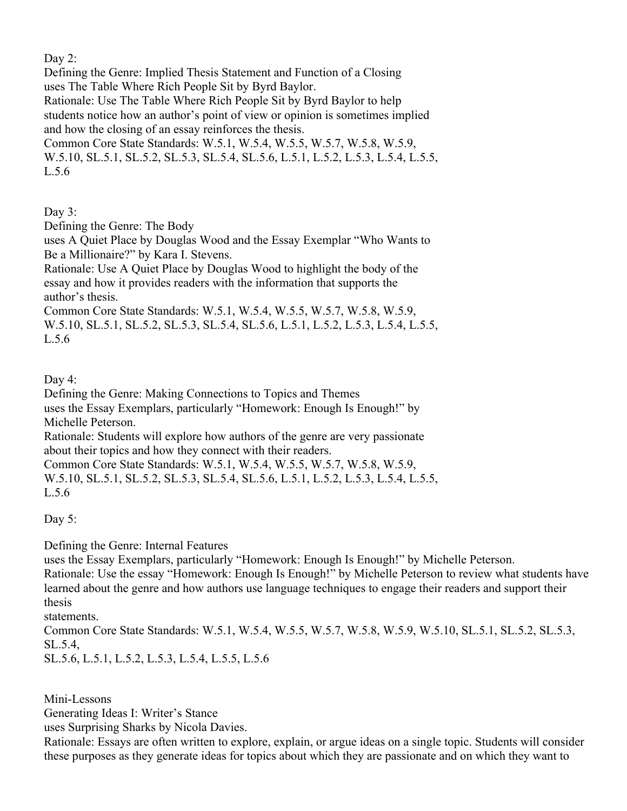Day 2:

Defining the Genre: Implied Thesis Statement and Function of a Closing uses The Table Where Rich People Sit by Byrd Baylor.

Rationale: Use The Table Where Rich People Sit by Byrd Baylor to help students notice how an author's point of view or opinion is sometimes implied and how the closing of an essay reinforces the thesis.

Common Core State Standards: W.5.1, W.5.4, W.5.5, W.5.7, W.5.8, W.5.9, W.5.10, SL.5.1, SL.5.2, SL.5.3, SL.5.4, SL.5.6, L.5.1, L.5.2, L.5.3, L.5.4, L.5.5, L.5.6

Day 3:

Defining the Genre: The Body

uses A Quiet Place by Douglas Wood and the Essay Exemplar "Who Wants to Be a Millionaire?" by Kara I. Stevens.

Rationale: Use A Quiet Place by Douglas Wood to highlight the body of the essay and how it provides readers with the information that supports the author's thesis.

Common Core State Standards: W.5.1, W.5.4, W.5.5, W.5.7, W.5.8, W.5.9, W.5.10, SL.5.1, SL.5.2, SL.5.3, SL.5.4, SL.5.6, L.5.1, L.5.2, L.5.3, L.5.4, L.5.5, L.5.6

Day 4:

Defining the Genre: Making Connections to Topics and Themes

uses the Essay Exemplars, particularly "Homework: Enough Is Enough!" by Michelle Peterson.

Rationale: Students will explore how authors of the genre are very passionate about their topics and how they connect with their readers.

Common Core State Standards: W.5.1, W.5.4, W.5.5, W.5.7, W.5.8, W.5.9, W.5.10, SL.5.1, SL.5.2, SL.5.3, SL.5.4, SL.5.6, L.5.1, L.5.2, L.5.3, L.5.4, L.5.5, L.5.6

Day 5:

Defining the Genre: Internal Features

uses the Essay Exemplars, particularly "Homework: Enough Is Enough!" by Michelle Peterson. Rationale: Use the essay "Homework: Enough Is Enough!" by Michelle Peterson to review what students have learned about the genre and how authors use language techniques to engage their readers and support their thesis

statements.

Common Core State Standards: W.5.1, W.5.4, W.5.5, W.5.7, W.5.8, W.5.9, W.5.10, SL.5.1, SL.5.2, SL.5.3, SL.5.4,

SL.5.6, L.5.1, L.5.2, L.5.3, L.5.4, L.5.5, L.5.6

Mini-Lessons

Generating Ideas I: Writer's Stance

uses Surprising Sharks by Nicola Davies.

Rationale: Essays are often written to explore, explain, or argue ideas on a single topic. Students will consider these purposes as they generate ideas for topics about which they are passionate and on which they want to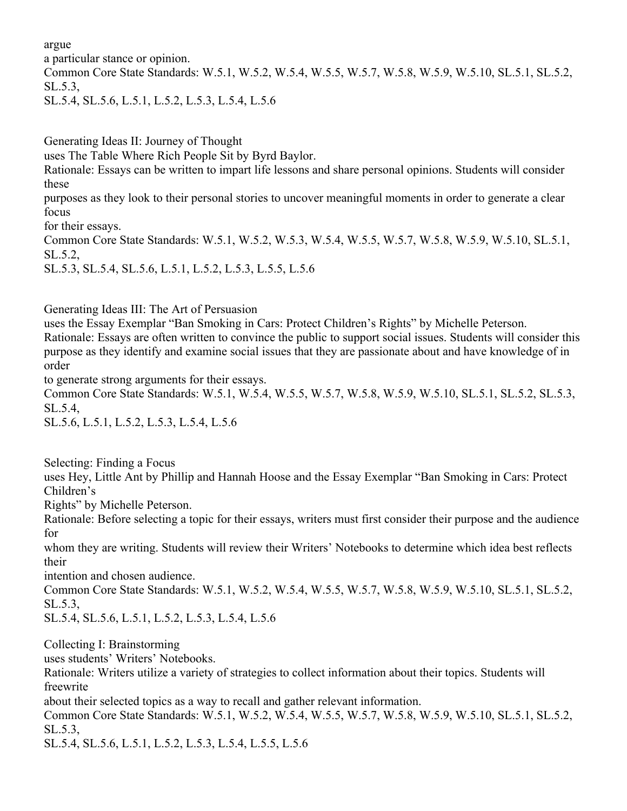argue

a particular stance or opinion.

Common Core State Standards: W.5.1, W.5.2, W.5.4, W.5.5, W.5.7, W.5.8, W.5.9, W.5.10, SL.5.1, SL.5.2, SL.5.3,

SL.5.4, SL.5.6, L.5.1, L.5.2, L.5.3, L.5.4, L.5.6

Generating Ideas II: Journey of Thought

uses The Table Where Rich People Sit by Byrd Baylor.

Rationale: Essays can be written to impart life lessons and share personal opinions. Students will consider these

purposes as they look to their personal stories to uncover meaningful moments in order to generate a clear focus

for their essays.

Common Core State Standards: W.5.1, W.5.2, W.5.3, W.5.4, W.5.5, W.5.7, W.5.8, W.5.9, W.5.10, SL.5.1, SL.5.2,

SL.5.3, SL.5.4, SL.5.6, L.5.1, L.5.2, L.5.3, L.5.5, L.5.6

Generating Ideas III: The Art of Persuasion

uses the Essay Exemplar "Ban Smoking in Cars: Protect Children's Rights" by Michelle Peterson. Rationale: Essays are often written to convince the public to support social issues. Students will consider this purpose as they identify and examine social issues that they are passionate about and have knowledge of in order

to generate strong arguments for their essays.

Common Core State Standards: W.5.1, W.5.4, W.5.5, W.5.7, W.5.8, W.5.9, W.5.10, SL.5.1, SL.5.2, SL.5.3, SL.5.4,

SL.5.6, L.5.1, L.5.2, L.5.3, L.5.4, L.5.6

Selecting: Finding a Focus

uses Hey, Little Ant by Phillip and Hannah Hoose and the Essay Exemplar "Ban Smoking in Cars: Protect Children's

Rights" by Michelle Peterson.

Rationale: Before selecting a topic for their essays, writers must first consider their purpose and the audience for

whom they are writing. Students will review their Writers' Notebooks to determine which idea best reflects their

intention and chosen audience.

Common Core State Standards: W.5.1, W.5.2, W.5.4, W.5.5, W.5.7, W.5.8, W.5.9, W.5.10, SL.5.1, SL.5.2, SL.5.3,

SL.5.4, SL.5.6, L.5.1, L.5.2, L.5.3, L.5.4, L.5.6

Collecting I: Brainstorming

uses students' Writers' Notebooks.

Rationale: Writers utilize a variety of strategies to collect information about their topics. Students will freewrite

about their selected topics as a way to recall and gather relevant information.

Common Core State Standards: W.5.1, W.5.2, W.5.4, W.5.5, W.5.7, W.5.8, W.5.9, W.5.10, SL.5.1, SL.5.2, SL.5.3,

SL.5.4, SL.5.6, L.5.1, L.5.2, L.5.3, L.5.4, L.5.5, L.5.6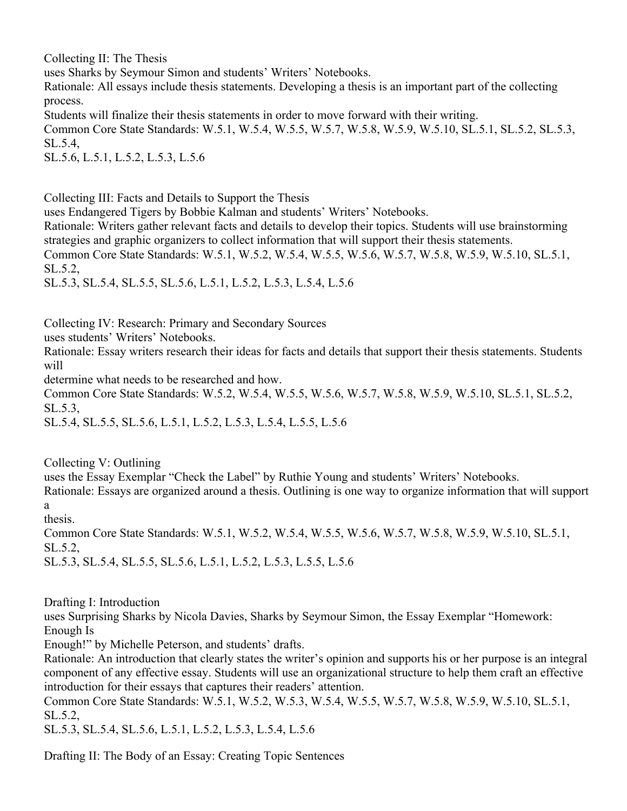Collecting II: The Thesis

uses Sharks by Seymour Simon and students' Writers' Notebooks.

Rationale: All essays include thesis statements. Developing a thesis is an important part of the collecting process.

Students will finalize their thesis statements in order to move forward with their writing.

Common Core State Standards: W.5.1, W.5.4, W.5.5, W.5.7, W.5.8, W.5.9, W.5.10, SL.5.1, SL.5.2, SL.5.3, SL.5.4,

SL.5.6, L.5.1, L.5.2, L.5.3, L.5.6

Collecting III: Facts and Details to Support the Thesis

uses Endangered Tigers by Bobbie Kalman and students' Writers' Notebooks.

Rationale: Writers gather relevant facts and details to develop their topics. Students will use brainstorming strategies and graphic organizers to collect information that will support their thesis statements.

Common Core State Standards: W.5.1, W.5.2, W.5.4, W.5.5, W.5.6, W.5.7, W.5.8, W.5.9, W.5.10, SL.5.1, SL.5.2,

SL.5.3, SL.5.4, SL.5.5, SL.5.6, L.5.1, L.5.2, L.5.3, L.5.4, L.5.6

Collecting IV: Research: Primary and Secondary Sources

uses students' Writers' Notebooks.

Rationale: Essay writers research their ideas for facts and details that support their thesis statements. Students will

determine what needs to be researched and how.

Common Core State Standards: W.5.2, W.5.4, W.5.5, W.5.6, W.5.7, W.5.8, W.5.9, W.5.10, SL.5.1, SL.5.2, SL.5.3,

SL.5.4, SL.5.5, SL.5.6, L.5.1, L.5.2, L.5.3, L.5.4, L.5.5, L.5.6

Collecting V: Outlining

uses the Essay Exemplar "Check the Label" by Ruthie Young and students' Writers' Notebooks. Rationale: Essays are organized around a thesis. Outlining is one way to organize information that will support a

thesis.

Common Core State Standards: W.5.1, W.5.2, W.5.4, W.5.5, W.5.6, W.5.7, W.5.8, W.5.9, W.5.10, SL.5.1, SL.5.2,

SL.5.3, SL.5.4, SL.5.5, SL.5.6, L.5.1, L.5.2, L.5.3, L.5.5, L.5.6

Drafting I: Introduction

uses Surprising Sharks by Nicola Davies, Sharks by Seymour Simon, the Essay Exemplar "Homework: Enough Is

Enough!" by Michelle Peterson, and students' drafts.

Rationale: An introduction that clearly states the writer's opinion and supports his or her purpose is an integral component of any effective essay. Students will use an organizational structure to help them craft an effective introduction for their essays that captures their readers' attention.

Common Core State Standards: W.5.1, W.5.2, W.5.3, W.5.4, W.5.5, W.5.7, W.5.8, W.5.9, W.5.10, SL.5.1, SL.5.2,

SL.5.3, SL.5.4, SL.5.6, L.5.1, L.5.2, L.5.3, L.5.4, L.5.6

Drafting II: The Body of an Essay: Creating Topic Sentences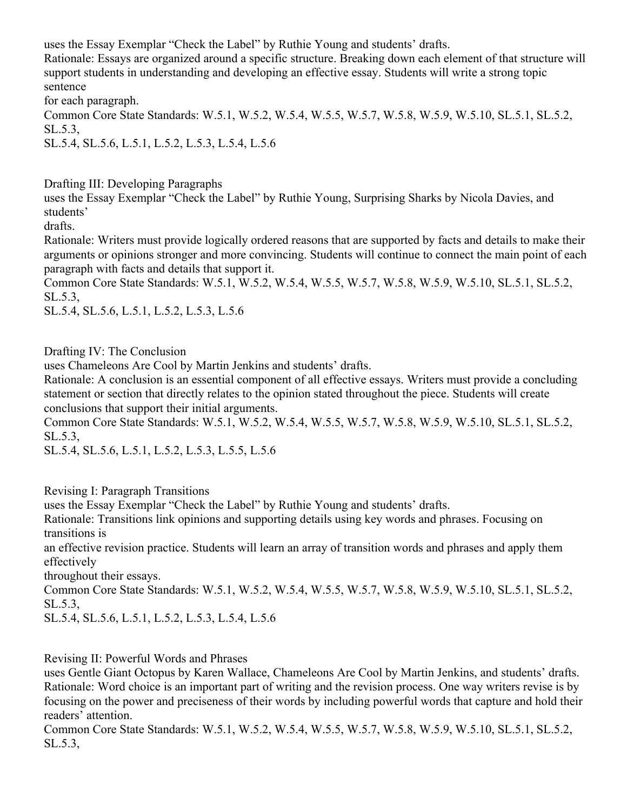uses the Essay Exemplar "Check the Label" by Ruthie Young and students' drafts.

Rationale: Essays are organized around a specific structure. Breaking down each element of that structure will support students in understanding and developing an effective essay. Students will write a strong topic sentence

for each paragraph.

Common Core State Standards: W.5.1, W.5.2, W.5.4, W.5.5, W.5.7, W.5.8, W.5.9, W.5.10, SL.5.1, SL.5.2, SL.5.3,

SL.5.4, SL.5.6, L.5.1, L.5.2, L.5.3, L.5.4, L.5.6

Drafting III: Developing Paragraphs

uses the Essay Exemplar "Check the Label" by Ruthie Young, Surprising Sharks by Nicola Davies, and students'

drafts.

Rationale: Writers must provide logically ordered reasons that are supported by facts and details to make their arguments or opinions stronger and more convincing. Students will continue to connect the main point of each paragraph with facts and details that support it.

Common Core State Standards: W.5.1, W.5.2, W.5.4, W.5.5, W.5.7, W.5.8, W.5.9, W.5.10, SL.5.1, SL.5.2, SL.5.3,

SL.5.4, SL.5.6, L.5.1, L.5.2, L.5.3, L.5.6

Drafting IV: The Conclusion

uses Chameleons Are Cool by Martin Jenkins and students' drafts.

Rationale: A conclusion is an essential component of all effective essays. Writers must provide a concluding statement or section that directly relates to the opinion stated throughout the piece. Students will create conclusions that support their initial arguments.

Common Core State Standards: W.5.1, W.5.2, W.5.4, W.5.5, W.5.7, W.5.8, W.5.9, W.5.10, SL.5.1, SL.5.2, SL.5.3,

SL.5.4, SL.5.6, L.5.1, L.5.2, L.5.3, L.5.5, L.5.6

Revising I: Paragraph Transitions

uses the Essay Exemplar "Check the Label" by Ruthie Young and students' drafts.

Rationale: Transitions link opinions and supporting details using key words and phrases. Focusing on transitions is

an effective revision practice. Students will learn an array of transition words and phrases and apply them effectively

throughout their essays.

Common Core State Standards: W.5.1, W.5.2, W.5.4, W.5.5, W.5.7, W.5.8, W.5.9, W.5.10, SL.5.1, SL.5.2, SL.5.3,

SL.5.4, SL.5.6, L.5.1, L.5.2, L.5.3, L.5.4, L.5.6

Revising II: Powerful Words and Phrases

uses Gentle Giant Octopus by Karen Wallace, Chameleons Are Cool by Martin Jenkins, and students' drafts. Rationale: Word choice is an important part of writing and the revision process. One way writers revise is by focusing on the power and preciseness of their words by including powerful words that capture and hold their readers' attention.

Common Core State Standards: W.5.1, W.5.2, W.5.4, W.5.5, W.5.7, W.5.8, W.5.9, W.5.10, SL.5.1, SL.5.2, SL.5.3,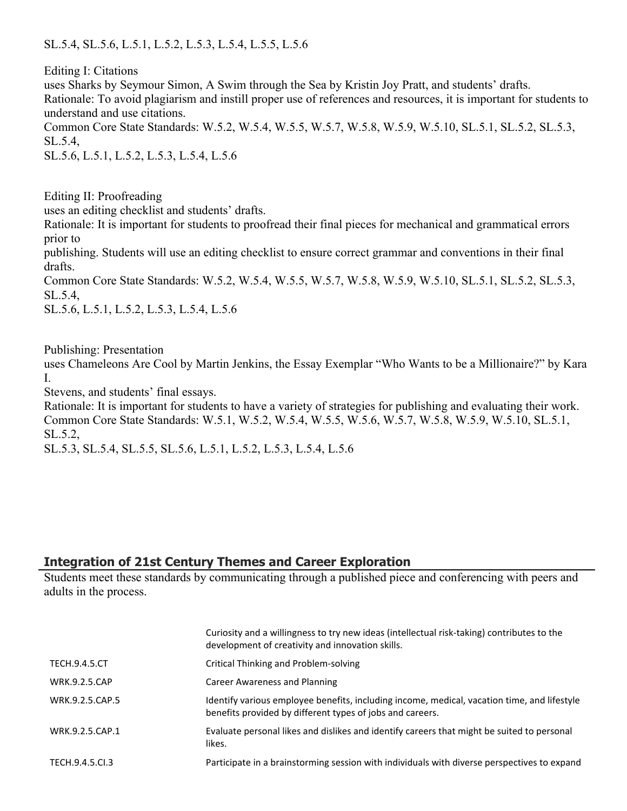SL.5.4, SL.5.6, L.5.1, L.5.2, L.5.3, L.5.4, L.5.5, L.5.6

Editing I: Citations

uses Sharks by Seymour Simon, A Swim through the Sea by Kristin Joy Pratt, and students' drafts. Rationale: To avoid plagiarism and instill proper use of references and resources, it is important for students to understand and use citations. Common Core State Standards: W.5.2, W.5.4, W.5.5, W.5.7, W.5.8, W.5.9, W.5.10, SL.5.1, SL.5.2, SL.5.3,

SL.5.4,

SL.5.6, L.5.1, L.5.2, L.5.3, L.5.4, L.5.6

Editing II: Proofreading

uses an editing checklist and students' drafts.

Rationale: It is important for students to proofread their final pieces for mechanical and grammatical errors prior to

publishing. Students will use an editing checklist to ensure correct grammar and conventions in their final drafts.

Common Core State Standards: W.5.2, W.5.4, W.5.5, W.5.7, W.5.8, W.5.9, W.5.10, SL.5.1, SL.5.2, SL.5.3, SL.5.4,

SL.5.6, L.5.1, L.5.2, L.5.3, L.5.4, L.5.6

Publishing: Presentation

uses Chameleons Are Cool by Martin Jenkins, the Essay Exemplar "Who Wants to be a Millionaire?" by Kara I.

Stevens, and students' final essays.

Rationale: It is important for students to have a variety of strategies for publishing and evaluating their work. Common Core State Standards: W.5.1, W.5.2, W.5.4, W.5.5, W.5.6, W.5.7, W.5.8, W.5.9, W.5.10, SL.5.1, SL.5.2,

SL.5.3, SL.5.4, SL.5.5, SL.5.6, L.5.1, L.5.2, L.5.3, L.5.4, L.5.6

### **Integration of 21st Century Themes and Career Exploration**

Students meet these standards by communicating through a published piece and conferencing with peers and adults in the process.

|                      | Curiosity and a willingness to try new ideas (intellectual risk-taking) contributes to the<br>development of creativity and innovation skills.           |
|----------------------|----------------------------------------------------------------------------------------------------------------------------------------------------------|
| <b>TECH.9.4.5.CT</b> | Critical Thinking and Problem-solving                                                                                                                    |
| <b>WRK.9.2.5.CAP</b> | Career Awareness and Planning                                                                                                                            |
| WRK.9.2.5.CAP.5      | Identify various employee benefits, including income, medical, vacation time, and lifestyle<br>benefits provided by different types of jobs and careers. |
| WRK.9.2.5.CAP.1      | Evaluate personal likes and dislikes and identify careers that might be suited to personal<br>likes.                                                     |
| TECH.9.4.5.Cl.3      | Participate in a brainstorming session with individuals with diverse perspectives to expand                                                              |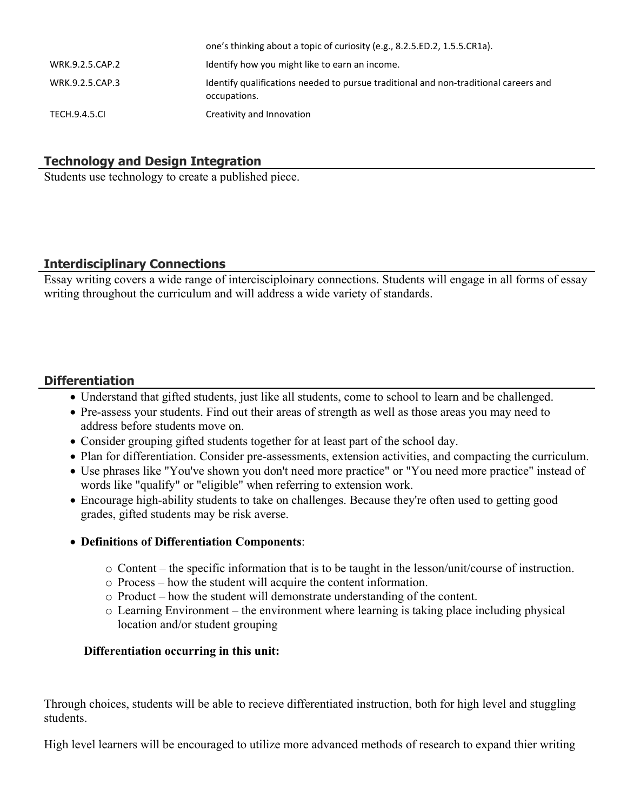|                      | one's trillining about a topic of currosity (e.g., 6.2.5.10.2, 1.5.5.0.11.14).                       |
|----------------------|------------------------------------------------------------------------------------------------------|
| WRK.9.2.5.CAP.2      | Identify how you might like to earn an income.                                                       |
| WRK.9.2.5.CAP.3      | Identify qualifications needed to pursue traditional and non-traditional careers and<br>occupations. |
| <b>TECH.9.4.5.CL</b> | Creativity and Innovation                                                                            |

one's thinking about a topic of curiosity (e.g.,  $8.2.5.5D$ ),  $1.5.5.021a$ ).

## **Technology and Design Integration**

Students use technology to create a published piece.

## **Interdisciplinary Connections**

Essay writing covers a wide range of intercisciploinary connections. Students will engage in all forms of essay writing throughout the curriculum and will address a wide variety of standards.

## **Differentiation**

- Understand that gifted students, just like all students, come to school to learn and be challenged.
- Pre-assess your students. Find out their areas of strength as well as those areas you may need to address before students move on.
- Consider grouping gifted students together for at least part of the school day.
- Plan for differentiation. Consider pre-assessments, extension activities, and compacting the curriculum.
- Use phrases like "You've shown you don't need more practice" or "You need more practice" instead of words like "qualify" or "eligible" when referring to extension work.
- Encourage high-ability students to take on challenges. Because they're often used to getting good grades, gifted students may be risk averse.

### **Definitions of Differentiation Components**:

- o Content the specific information that is to be taught in the lesson/unit/course of instruction.
- o Process how the student will acquire the content information.
- o Product how the student will demonstrate understanding of the content.
- o Learning Environment the environment where learning is taking place including physical location and/or student grouping

### **Differentiation occurring in this unit:**

Through choices, students will be able to recieve differentiated instruction, both for high level and stuggling students.

High level learners will be encouraged to utilize more advanced methods of research to expand thier writing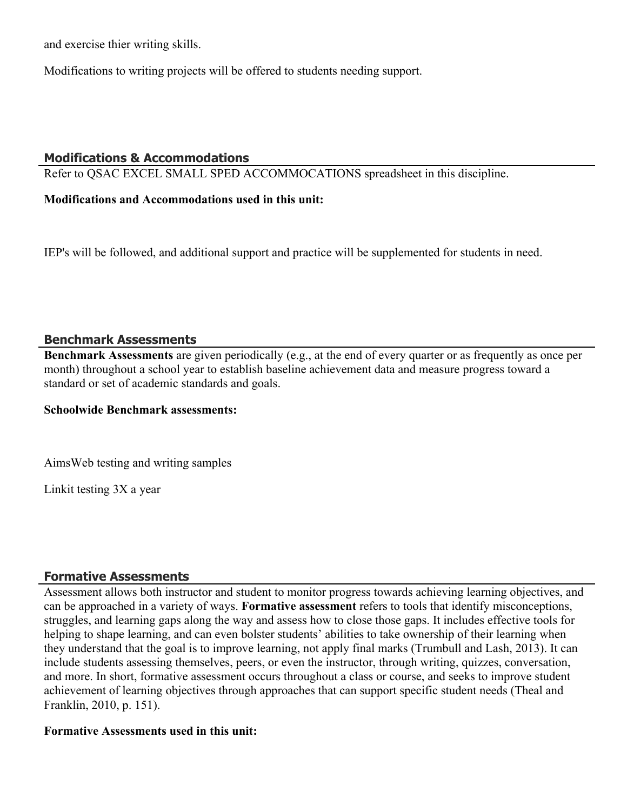and exercise thier writing skills.

Modifications to writing projects will be offered to students needing support.

### **Modifications & Accommodations**

Refer to QSAC EXCEL SMALL SPED ACCOMMOCATIONS spreadsheet in this discipline.

**Modifications and Accommodations used in this unit:**

IEP's will be followed, and additional support and practice will be supplemented for students in need.

### **Benchmark Assessments**

**Benchmark Assessments** are given periodically (e.g., at the end of every quarter or as frequently as once per month) throughout a school year to establish baseline achievement data and measure progress toward a standard or set of academic standards and goals.

#### **Schoolwide Benchmark assessments:**

AimsWeb testing and writing samples

Linkit testing 3X a year

### **Formative Assessments**

Assessment allows both instructor and student to monitor progress towards achieving learning objectives, and can be approached in a variety of ways. **Formative assessment** refers to tools that identify misconceptions, struggles, and learning gaps along the way and assess how to close those gaps. It includes effective tools for helping to shape learning, and can even bolster students' abilities to take ownership of their learning when they understand that the goal is to improve learning, not apply final marks (Trumbull and Lash, 2013). It can include students assessing themselves, peers, or even the instructor, through writing, quizzes, conversation, and more. In short, formative assessment occurs throughout a class or course, and seeks to improve student achievement of learning objectives through approaches that can support specific student needs (Theal and Franklin, 2010, p. 151).

#### **Formative Assessments used in this unit:**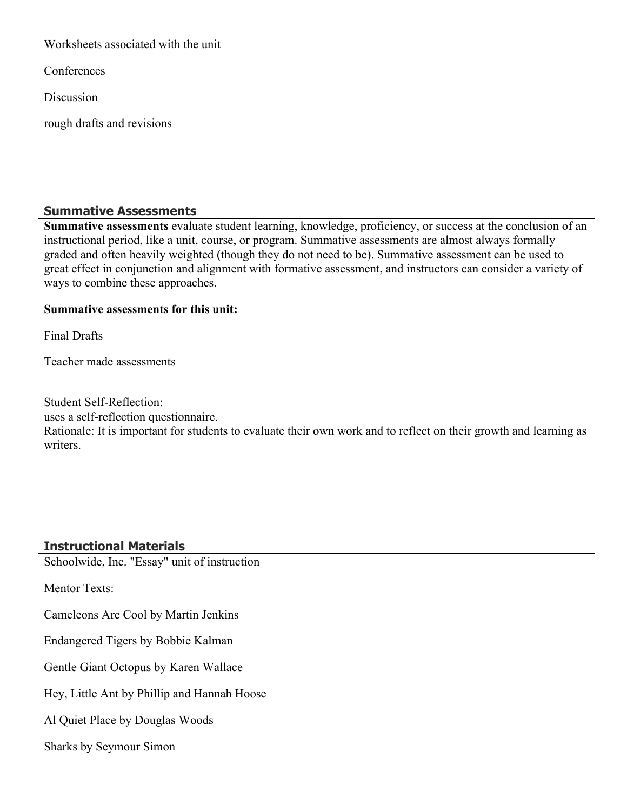Worksheets associated with the unit

**Conferences** 

Discussion

rough drafts and revisions

## **Summative Assessments**

**Summative assessments** evaluate student learning, knowledge, proficiency, or success at the conclusion of an instructional period, like a unit, course, or program. Summative assessments are almost always formally graded and often heavily weighted (though they do not need to be). Summative assessment can be used to great effect in conjunction and alignment with formative assessment, and instructors can consider a variety of ways to combine these approaches.

## **Summative assessments for this unit:**

Final Drafts

Teacher made assessments

Student Self-Reflection:

uses a self-reflection questionnaire.

Rationale: It is important for students to evaluate their own work and to reflect on their growth and learning as writers.

## **Instructional Materials**

Schoolwide, Inc. "Essay" unit of instruction

Mentor Texts:

Cameleons Are Cool by Martin Jenkins

Endangered Tigers by Bobbie Kalman

Gentle Giant Octopus by Karen Wallace

Hey, Little Ant by Phillip and Hannah Hoose

Al Quiet Place by Douglas Woods

Sharks by Seymour Simon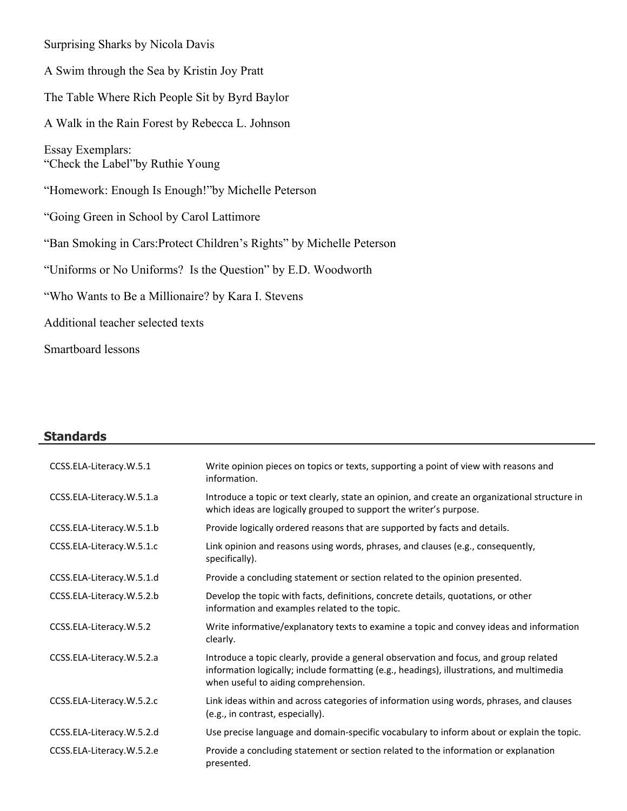Surprising Sharks by Nicola Davis A Swim through the Sea by Kristin Joy Pratt The Table Where Rich People Sit by Byrd Baylor A Walk in the Rain Forest by Rebecca L. Johnson Essay Exemplars: "Check the Label"by Ruthie Young "Homework: Enough Is Enough!"by Michelle Peterson "Going Green in School by Carol Lattimore "Ban Smoking in Cars:Protect Children's Rights" by Michelle Peterson "Uniforms or No Uniforms? Is the Question" by E.D. Woodworth "Who Wants to Be a Millionaire? by Kara I. Stevens Additional teacher selected texts Smartboard lessons

# **Standards**

| CCSS.ELA-Literacy.W.5.1   | Write opinion pieces on topics or texts, supporting a point of view with reasons and<br>information.                                                                                                                       |
|---------------------------|----------------------------------------------------------------------------------------------------------------------------------------------------------------------------------------------------------------------------|
| CCSS.ELA-Literacy.W.5.1.a | Introduce a topic or text clearly, state an opinion, and create an organizational structure in<br>which ideas are logically grouped to support the writer's purpose.                                                       |
| CCSS.ELA-Literacy.W.5.1.b | Provide logically ordered reasons that are supported by facts and details.                                                                                                                                                 |
| CCSS.ELA-Literacy.W.5.1.c | Link opinion and reasons using words, phrases, and clauses (e.g., consequently,<br>specifically).                                                                                                                          |
| CCSS.ELA-Literacy.W.5.1.d | Provide a concluding statement or section related to the opinion presented.                                                                                                                                                |
| CCSS.ELA-Literacy.W.5.2.b | Develop the topic with facts, definitions, concrete details, quotations, or other<br>information and examples related to the topic.                                                                                        |
| CCSS.ELA-Literacy.W.5.2   | Write informative/explanatory texts to examine a topic and convey ideas and information<br>clearly.                                                                                                                        |
| CCSS.ELA-Literacy.W.5.2.a | Introduce a topic clearly, provide a general observation and focus, and group related<br>information logically; include formatting (e.g., headings), illustrations, and multimedia<br>when useful to aiding comprehension. |
| CCSS.ELA-Literacy.W.5.2.c | Link ideas within and across categories of information using words, phrases, and clauses<br>(e.g., in contrast, especially).                                                                                               |
| CCSS.ELA-Literacy.W.5.2.d | Use precise language and domain-specific vocabulary to inform about or explain the topic.                                                                                                                                  |
| CCSS.ELA-Literacy.W.5.2.e | Provide a concluding statement or section related to the information or explanation<br>presented.                                                                                                                          |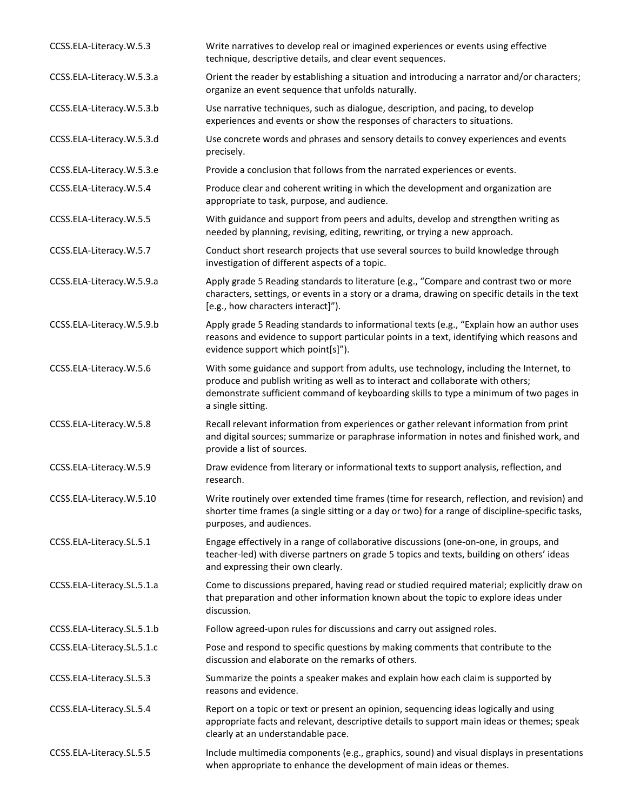| CCSS.ELA-Literacy.W.5.3    | Write narratives to develop real or imagined experiences or events using effective<br>technique, descriptive details, and clear event sequences.                                                                                                                                         |
|----------------------------|------------------------------------------------------------------------------------------------------------------------------------------------------------------------------------------------------------------------------------------------------------------------------------------|
| CCSS.ELA-Literacy.W.5.3.a  | Orient the reader by establishing a situation and introducing a narrator and/or characters;<br>organize an event sequence that unfolds naturally.                                                                                                                                        |
| CCSS.ELA-Literacy.W.5.3.b  | Use narrative techniques, such as dialogue, description, and pacing, to develop<br>experiences and events or show the responses of characters to situations.                                                                                                                             |
| CCSS.ELA-Literacy.W.5.3.d  | Use concrete words and phrases and sensory details to convey experiences and events<br>precisely.                                                                                                                                                                                        |
| CCSS.ELA-Literacy.W.5.3.e  | Provide a conclusion that follows from the narrated experiences or events.                                                                                                                                                                                                               |
| CCSS.ELA-Literacy.W.5.4    | Produce clear and coherent writing in which the development and organization are<br>appropriate to task, purpose, and audience.                                                                                                                                                          |
| CCSS.ELA-Literacy.W.5.5    | With guidance and support from peers and adults, develop and strengthen writing as<br>needed by planning, revising, editing, rewriting, or trying a new approach.                                                                                                                        |
| CCSS.ELA-Literacy.W.5.7    | Conduct short research projects that use several sources to build knowledge through<br>investigation of different aspects of a topic.                                                                                                                                                    |
| CCSS.ELA-Literacy.W.5.9.a  | Apply grade 5 Reading standards to literature (e.g., "Compare and contrast two or more<br>characters, settings, or events in a story or a drama, drawing on specific details in the text<br>[e.g., how characters interact]").                                                           |
| CCSS.ELA-Literacy.W.5.9.b  | Apply grade 5 Reading standards to informational texts (e.g., "Explain how an author uses<br>reasons and evidence to support particular points in a text, identifying which reasons and<br>evidence support which point[s]").                                                            |
| CCSS.ELA-Literacy.W.5.6    | With some guidance and support from adults, use technology, including the Internet, to<br>produce and publish writing as well as to interact and collaborate with others;<br>demonstrate sufficient command of keyboarding skills to type a minimum of two pages in<br>a single sitting. |
| CCSS.ELA-Literacy.W.5.8    | Recall relevant information from experiences or gather relevant information from print<br>and digital sources; summarize or paraphrase information in notes and finished work, and<br>provide a list of sources.                                                                         |
| CCSS.ELA-Literacy.W.5.9    | Draw evidence from literary or informational texts to support analysis, reflection, and<br>research.                                                                                                                                                                                     |
| CCSS.ELA-Literacy.W.5.10   | Write routinely over extended time frames (time for research, reflection, and revision) and<br>shorter time frames (a single sitting or a day or two) for a range of discipline-specific tasks,<br>purposes, and audiences.                                                              |
| CCSS.ELA-Literacy.SL.5.1   | Engage effectively in a range of collaborative discussions (one-on-one, in groups, and<br>teacher-led) with diverse partners on grade 5 topics and texts, building on others' ideas<br>and expressing their own clearly.                                                                 |
| CCSS.ELA-Literacy.SL.5.1.a | Come to discussions prepared, having read or studied required material; explicitly draw on<br>that preparation and other information known about the topic to explore ideas under<br>discussion.                                                                                         |
| CCSS.ELA-Literacy.SL.5.1.b | Follow agreed-upon rules for discussions and carry out assigned roles.                                                                                                                                                                                                                   |
| CCSS.ELA-Literacy.SL.5.1.c | Pose and respond to specific questions by making comments that contribute to the<br>discussion and elaborate on the remarks of others.                                                                                                                                                   |
| CCSS.ELA-Literacy.SL.5.3   | Summarize the points a speaker makes and explain how each claim is supported by<br>reasons and evidence.                                                                                                                                                                                 |
| CCSS.ELA-Literacy.SL.5.4   | Report on a topic or text or present an opinion, sequencing ideas logically and using<br>appropriate facts and relevant, descriptive details to support main ideas or themes; speak<br>clearly at an understandable pace.                                                                |
| CCSS.ELA-Literacy.SL.5.5   | Include multimedia components (e.g., graphics, sound) and visual displays in presentations<br>when appropriate to enhance the development of main ideas or themes.                                                                                                                       |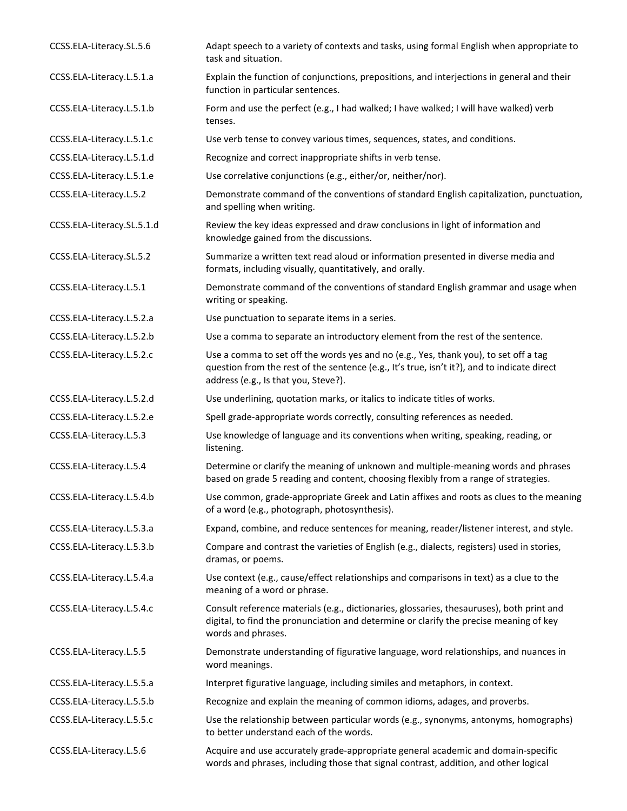| CCSS.ELA-Literacy.SL.5.6   | Adapt speech to a variety of contexts and tasks, using formal English when appropriate to<br>task and situation.                                                                                                            |
|----------------------------|-----------------------------------------------------------------------------------------------------------------------------------------------------------------------------------------------------------------------------|
| CCSS.ELA-Literacy.L.5.1.a  | Explain the function of conjunctions, prepositions, and interjections in general and their<br>function in particular sentences.                                                                                             |
| CCSS.ELA-Literacy.L.5.1.b  | Form and use the perfect (e.g., I had walked; I have walked; I will have walked) verb<br>tenses.                                                                                                                            |
| CCSS.ELA-Literacy.L.5.1.c  | Use verb tense to convey various times, sequences, states, and conditions.                                                                                                                                                  |
| CCSS.ELA-Literacy.L.5.1.d  | Recognize and correct inappropriate shifts in verb tense.                                                                                                                                                                   |
| CCSS.ELA-Literacy.L.5.1.e  | Use correlative conjunctions (e.g., either/or, neither/nor).                                                                                                                                                                |
| CCSS.ELA-Literacy.L.5.2    | Demonstrate command of the conventions of standard English capitalization, punctuation,<br>and spelling when writing.                                                                                                       |
| CCSS.ELA-Literacy.SL.5.1.d | Review the key ideas expressed and draw conclusions in light of information and<br>knowledge gained from the discussions.                                                                                                   |
| CCSS.ELA-Literacy.SL.5.2   | Summarize a written text read aloud or information presented in diverse media and<br>formats, including visually, quantitatively, and orally.                                                                               |
| CCSS.ELA-Literacy.L.5.1    | Demonstrate command of the conventions of standard English grammar and usage when<br>writing or speaking.                                                                                                                   |
| CCSS.ELA-Literacy.L.5.2.a  | Use punctuation to separate items in a series.                                                                                                                                                                              |
| CCSS.ELA-Literacy.L.5.2.b  | Use a comma to separate an introductory element from the rest of the sentence.                                                                                                                                              |
| CCSS.ELA-Literacy.L.5.2.c  | Use a comma to set off the words yes and no (e.g., Yes, thank you), to set off a tag<br>question from the rest of the sentence (e.g., It's true, isn't it?), and to indicate direct<br>address (e.g., Is that you, Steve?). |
| CCSS.ELA-Literacy.L.5.2.d  | Use underlining, quotation marks, or italics to indicate titles of works.                                                                                                                                                   |
| CCSS.ELA-Literacy.L.5.2.e  | Spell grade-appropriate words correctly, consulting references as needed.                                                                                                                                                   |
| CCSS.ELA-Literacy.L.5.3    | Use knowledge of language and its conventions when writing, speaking, reading, or<br>listening.                                                                                                                             |
| CCSS.ELA-Literacy.L.5.4    | Determine or clarify the meaning of unknown and multiple-meaning words and phrases<br>based on grade 5 reading and content, choosing flexibly from a range of strategies.                                                   |
| CCSS.ELA-Literacy.L.5.4.b  | Use common, grade-appropriate Greek and Latin affixes and roots as clues to the meaning<br>of a word (e.g., photograph, photosynthesis).                                                                                    |
| CCSS.ELA-Literacy.L.5.3.a  | Expand, combine, and reduce sentences for meaning, reader/listener interest, and style.                                                                                                                                     |
| CCSS.ELA-Literacy.L.5.3.b  | Compare and contrast the varieties of English (e.g., dialects, registers) used in stories,<br>dramas, or poems.                                                                                                             |
| CCSS.ELA-Literacy.L.5.4.a  | Use context (e.g., cause/effect relationships and comparisons in text) as a clue to the<br>meaning of a word or phrase.                                                                                                     |
| CCSS.ELA-Literacy.L.5.4.c  | Consult reference materials (e.g., dictionaries, glossaries, thesauruses), both print and<br>digital, to find the pronunciation and determine or clarify the precise meaning of key<br>words and phrases.                   |
| CCSS.ELA-Literacy.L.5.5    | Demonstrate understanding of figurative language, word relationships, and nuances in<br>word meanings.                                                                                                                      |
| CCSS.ELA-Literacy.L.5.5.a  | Interpret figurative language, including similes and metaphors, in context.                                                                                                                                                 |
| CCSS.ELA-Literacy.L.5.5.b  | Recognize and explain the meaning of common idioms, adages, and proverbs.                                                                                                                                                   |
| CCSS.ELA-Literacy.L.5.5.c  | Use the relationship between particular words (e.g., synonyms, antonyms, homographs)<br>to better understand each of the words.                                                                                             |
| CCSS.ELA-Literacy.L.5.6    | Acquire and use accurately grade-appropriate general academic and domain-specific<br>words and phrases, including those that signal contrast, addition, and other logical                                                   |